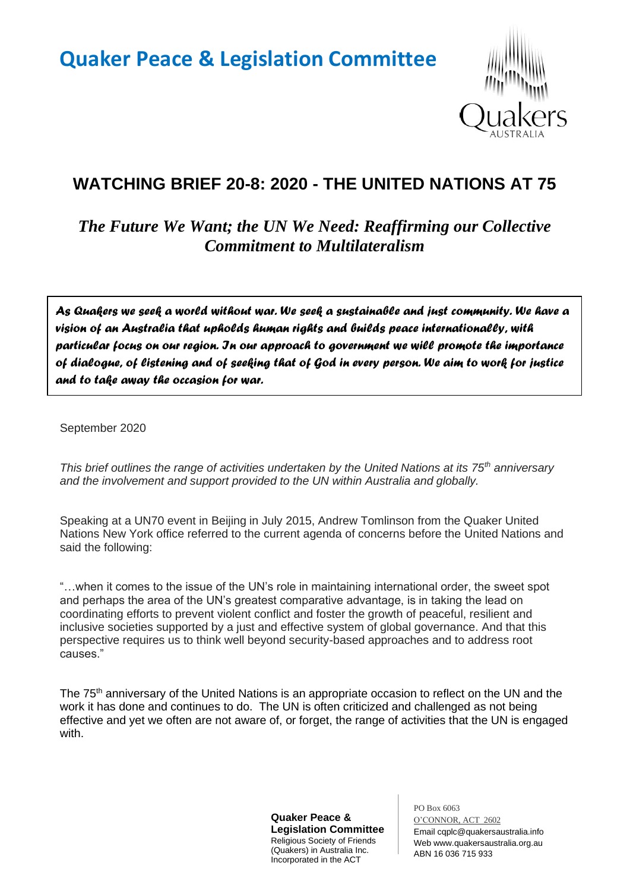

# **WATCHING BRIEF 20-8: 2020 - THE UNITED NATIONS AT 75**

*The Future We Want; the UN We Need: Reaffirming our Collective Commitment to Multilateralism*

*As Quakers we seek a world without war. We seek a sustainable and just community. We have a vision of an Australia that upholds human rights and builds peace internationally, with particular focus on our region. In our approach to government we will promote the importance of dialogue, of listening and of seeking that of God in every person. We aim to work for justice and to take away the occasion for war.* 

September 2020

*This brief outlines the range of activities undertaken by the United Nations at its 75th anniversary and the involvement and support provided to the UN within Australia and globally.*

Speaking at a UN70 event in Beijing in July 2015, Andrew Tomlinson from the Quaker United Nations New York office referred to the current agenda of concerns before the United Nations and said the following:

"…when it comes to the issue of the UN's role in maintaining international order, the sweet spot and perhaps the area of the UN's greatest comparative advantage, is in taking the lead on coordinating efforts to prevent violent conflict and foster the growth of peaceful, resilient and inclusive societies supported by a just and effective system of global governance. And that this perspective requires us to think well beyond security-based approaches and to address root causes."

The 75<sup>th</sup> anniversary of the United Nations is an appropriate occasion to reflect on the UN and the work it has done and continues to do. The UN is often criticized and challenged as not being effective and yet we often are not aware of, or forget, the range of activities that the UN is engaged with.

> **Quaker Peace & Legislation Committee** Religious Society of Friends (Quakers) in Australia Inc. Incorporated in the ACT

PO Box 6063 O'CONNOR, ACT 2602 Email cqplc@quakersaustralia.info Web www.quakersaustralia.org.au ABN 16 036 715 933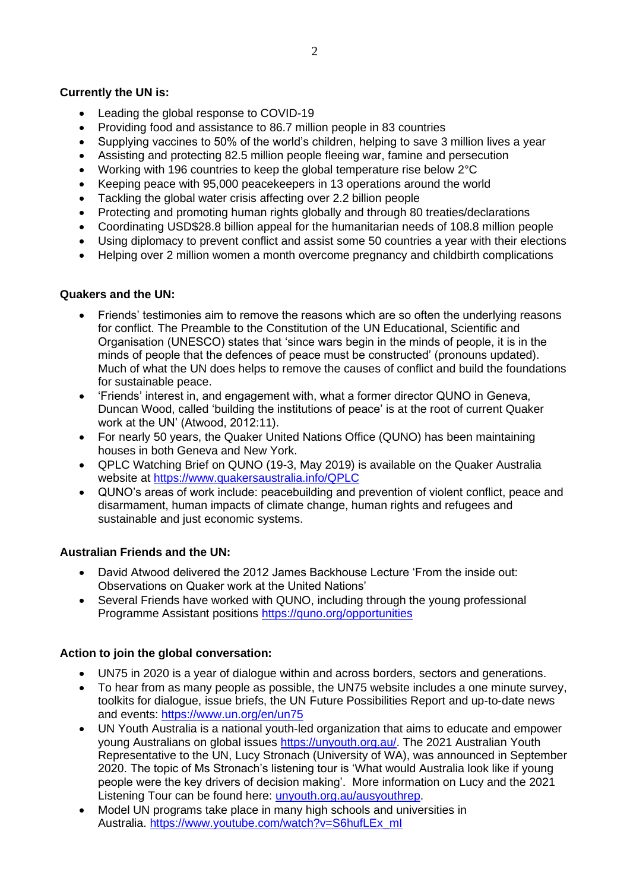### **Currently the UN is:**

- Leading the global response to COVID-19
- Providing food and assistance to 86.7 million people in 83 countries
- Supplying vaccines to 50% of the world's children, helping to save 3 million lives a year
- Assisting and protecting 82.5 million people fleeing war, famine and persecution
- Working with 196 countries to keep the global temperature rise below 2°C
- Keeping peace with 95,000 peacekeepers in 13 operations around the world
- Tackling the global water crisis affecting over 2.2 billion people
- Protecting and promoting human rights globally and through 80 treaties/declarations
- Coordinating USD\$28.8 billion appeal for the humanitarian needs of 108.8 million people
- Using diplomacy to prevent conflict and assist some 50 countries a year with their elections
- Helping over 2 million women a month overcome pregnancy and childbirth complications

### **Quakers and the UN:**

- Friends' testimonies aim to remove the reasons which are so often the underlying reasons for conflict. The Preamble to the Constitution of the UN Educational, Scientific and Organisation (UNESCO) states that 'since wars begin in the minds of people, it is in the minds of people that the defences of peace must be constructed' (pronouns updated). Much of what the UN does helps to remove the causes of conflict and build the foundations for sustainable peace.
- 'Friends' interest in, and engagement with, what a former director QUNO in Geneva, Duncan Wood, called 'building the institutions of peace' is at the root of current Quaker work at the UN' (Atwood, 2012:11).
- For nearly 50 years, the Quaker United Nations Office (QUNO) has been maintaining houses in both Geneva and New York.
- QPLC Watching Brief on QUNO (19-3, May 2019) is available on the Quaker Australia website at<https://www.quakersaustralia.info/QPLC>
- QUNO's areas of work include: peacebuilding and prevention of violent conflict, peace and disarmament, human impacts of climate change, human rights and refugees and sustainable and just economic systems.

### **Australian Friends and the UN:**

- David Atwood delivered the 2012 James Backhouse Lecture 'From the inside out: Observations on Quaker work at the United Nations'
- Several Friends have worked with QUNO, including through the young professional Programme Assistant positions<https://quno.org/opportunities>

### **Action to join the global conversation:**

- UN75 in 2020 is a year of dialogue within and across borders, sectors and generations.
- To hear from as many people as possible, the UN75 website includes a one minute survey, toolkits for dialogue, issue briefs, the UN Future Possibilities Report and up-to-date news and events:<https://www.un.org/en/un75>
- UN Youth Australia is a national youth-led organization that aims to educate and empower young Australians on global issues [https://unyouth.org.au/.](https://unyouth.org.au/) The 2021 Australian Youth Representative to the UN, Lucy Stronach (University of WA), was announced in September 2020. The topic of Ms Stronach's listening tour is 'What would Australia look like if young people were the key drivers of decision making'. More information on Lucy and the 2021 Listening Tour can be found here: [unyouth.org.au/ausyouthrep.](http://www.unyouth.org.au/ausyouthrep)
- Model UN programs take place in many high schools and universities in Australia. [https://www.youtube.com/watch?v=S6hufLEx\\_mI](https://www.youtube.com/watch?v=S6hufLEx_mI)